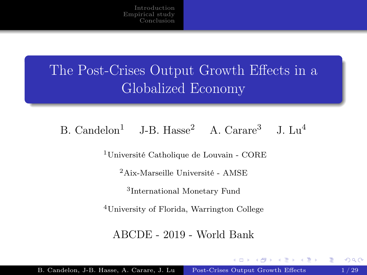# <span id="page-0-0"></span>The Post-Crises Output Growth Effects in a Globalized Economy

# B. Candelon<sup>1</sup> J-B. Hasse<sup>2</sup> A. Carare<sup>3</sup> J. Lu<sup>4</sup>

<sup>1</sup>Université Catholique de Louvain - CORE

<sup>2</sup>Aix-Marseille Université - AMSE

3 International Monetary Fund

<sup>4</sup>University of Florida, Warrington College

ABCDE - 2019 - World Bank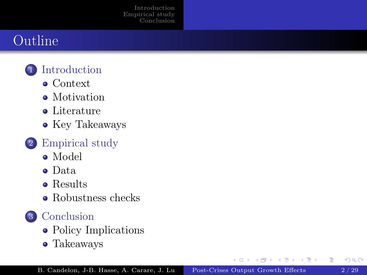# Outline

# **[Introduction](#page-2-0)**

- [Context](#page-2-0)
- [Motivation](#page-5-0)
- **•** [Literature](#page-7-0)
- [Key Takeaways](#page-8-0)

# 2 [Empirical study](#page-9-0)

- [Model](#page-9-0)
- [Data](#page-13-0)
- [Results](#page-18-0)
- [Robustness checks](#page-23-0)

# 3 [Conclusion](#page-25-0)

- [Policy Implications](#page-25-0)
- [Takeaways](#page-28-0)

E

 $\left\{ \left. \left( \left. \left| \Phi \right| \right. \right) \left. \left. \left( \left. \left| \Phi \right| \right. \right) \right| \right. \left. \left( \left. \left| \Phi \right| \right) \right| \right. \right. \left. \left( \left. \left| \Phi \right| \right) \right| \right. \left. \left( \left. \left| \Phi \right| \right) \right| \right. \left. \left( \left. \left| \Phi \right| \right) \right| \right. \left. \left( \left. \left| \Phi \right| \right) \right| \right)$ 

4 0 8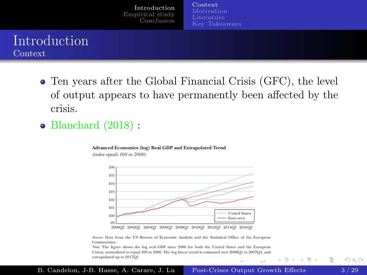[Context](#page-2-0)

#### <span id="page-2-0"></span>Introduction Context

- Ten years after the Global Financial Crisis (GFC), the level of output appears to have permanently been affected by the crisis.
- Blanchard (2018):

#### Advanced Economies (log) Real GDP and Extrapolated Trend

(index equals 100 in 2000)



2000O1 2002O1 2004O1 2006O1 2008O1 2010O1 2012O1 2014O1 2016O1

Source: Data from the US Bureau of Economic Analysis and the Statistical Office of the European Communities.

Note: The figure shows the log real GDP since 2000 for both the United States and the European Union, normalized to equal 100 in 2000. The log linear trend is estimated over 2000O1 to 2007O4, and extrapolated up to 2017Q1.

 $\rightarrow$   $\equiv$ 

Э×.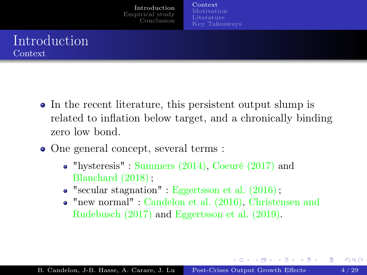[Context](#page-2-0) [Motivation](#page-5-0) [Key Takeaways](#page-8-0)

# Introduction Context

- In the recent literature, this persistent output slump is related to inflation below target, and a chronically binding zero low bond.
- One general concept, several terms :
	- "hysteresis" : Summers (2014), Coeuré (2017) and Blanchard (2018);
	- $\bullet$  "secular stagnation" : Eggertsson et al. (2016);
	- "new normal" : Candelon et al. (2016), Christensen and Rudebusch (2017) and Eggertsson et al. (2019).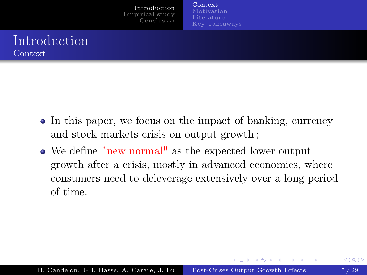[Context](#page-2-0) [Motivation](#page-5-0) [Key Takeaways](#page-8-0)

# Introduction Context

- In this paper, we focus on the impact of banking, currency and stock markets crisis on output growth ;
- We define "new normal" as the expected lower output growth after a crisis, mostly in advanced economies, where consumers need to deleverage extensively over a long period of time.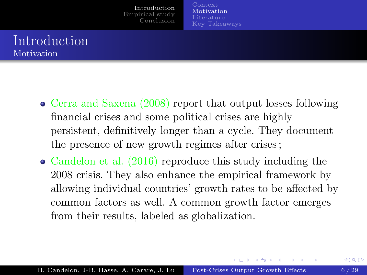[Motivation](#page-5-0) [Key Takeaways](#page-8-0)

### <span id="page-5-0"></span>Introduction Motivation

- Cerra and Saxena (2008) report that output losses following financial crises and some political crises are highly persistent, definitively longer than a cycle. They document the presence of new growth regimes after crises ;
- Candelon et al. (2016) reproduce this study including the 2008 crisis. They also enhance the empirical framework by allowing individual countries' growth rates to be affected by common factors as well. A common growth factor emerges from their results, labeled as globalization.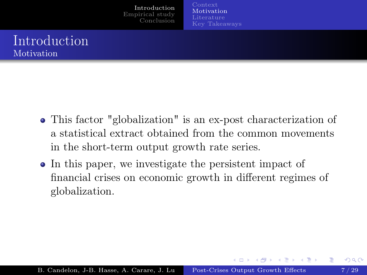[Motivation](#page-5-0) [Key Takeaways](#page-8-0)

#### Introduction Motivation

- This factor "globalization" is an ex-post characterization of a statistical extract obtained from the common movements in the short-term output growth rate series.
- In this paper, we investigate the persistent impact of financial crises on economic growth in different regimes of globalization.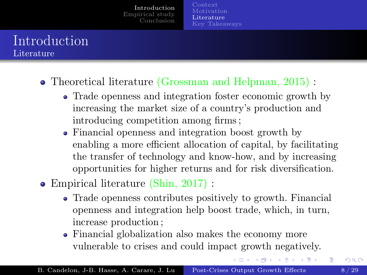**[Motivation](#page-5-0)** [Literature](#page-7-0) [Key Takeaways](#page-8-0)

## <span id="page-7-0"></span>Introduction Literature

Theoretical literature (Grossman and Helpman, 2015) :

- Trade openness and integration foster economic growth by increasing the market size of a country's production and introducing competition among firms ;
- Financial openness and integration boost growth by enabling a more efficient allocation of capital, by facilitating the transfer of technology and know-how, and by increasing opportunities for higher returns and for risk diversification.
- Empirical literature (Shin, 2017) :
	- Trade openness contributes positively to growth. Financial openness and integration help boost trade, which, in turn, increase production ;
	- Financial globalization also makes the economy more vulnerable to crises and could impact growth negatively.

K ロ ▶ (K倒 ▶ (K) 全 ▶ (K) 差 ▶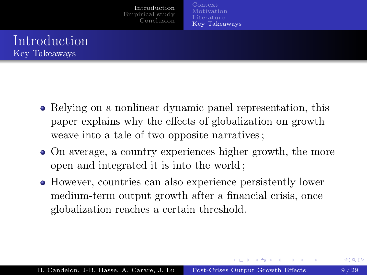[Motivation](#page-5-0) [Key Takeaways](#page-8-0)

# <span id="page-8-0"></span>Introduction Key Takeaways

- Relying on a nonlinear dynamic panel representation, this paper explains why the effects of globalization on growth weave into a tale of two opposite narratives ;
- On average, a country experiences higher growth, the more open and integrated it is into the world ;
- However, countries can also experience persistently lower medium-term output growth after a financial crisis, once globalization reaches a certain threshold.

**K ロ ト K 何 ト K ヨ ト K ヨ ト**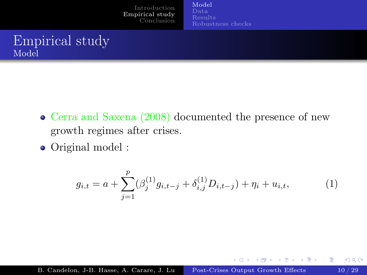[Model](#page-9-0) [Robustness checks](#page-23-0)

# <span id="page-9-0"></span>Empirical study Model

- Cerra and Saxena (2008) documented the presence of new growth regimes after crises.
- Original model :

$$
g_{i,t} = a + \sum_{j=1}^{p} (\beta_j^{(1)} g_{i,t-j} + \delta_{i,j}^{(1)} D_{i,t-j}) + \eta_i + u_{i,t},
$$
\n(1)

<span id="page-9-1"></span>メロメ メ都 メメ きょくきょ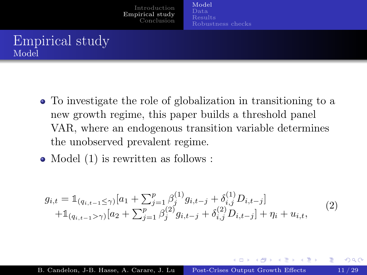[Empirical study](#page-9-0) [Conclusion](#page-25-0)

# Empirical study Model

- To investigate the role of globalization in transitioning to a new growth regime, this paper builds a threshold panel VAR, where an endogenous transition variable determines the unobserved prevalent regime.
- Model  $(1)$  $(1)$  $(1)$  is rewritten as follows :

$$
g_{i,t} = \mathbb{1}_{(q_{i,t-1} \le \gamma)} [a_1 + \sum_{j=1}^p \beta_j^{(1)} g_{i,t-j} + \delta_{i,j}^{(1)} D_{i,t-j}] + \mathbb{1}_{(q_{i,t-1} > \gamma)} [a_2 + \sum_{j=1}^p \beta_j^{(2)} g_{i,t-j} + \delta_{i,j}^{(2)} D_{i,t-j}] + \eta_i + u_{i,t},
$$
(2)

<span id="page-10-0"></span>

4 0 8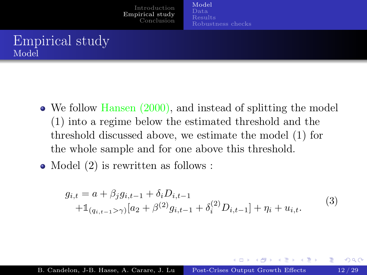[Empirical study](#page-9-0) [Conclusion](#page-25-0)

# Empirical study Model

- We follow Hansen (2000), and instead of splitting the model (1) into a regime below the estimated threshold and the threshold discussed above, we estimate the model (1) for the whole sample and for one above this threshold.
- Model ([2](#page-10-0)) is rewritten as follows :

$$
g_{i,t} = a + \beta_j g_{i,t-1} + \delta_i D_{i,t-1}
$$
  
+1 $(q_{i,t-1} > \gamma) [a_2 + \beta^{(2)} g_{i,t-1} + \delta_i^{(2)} D_{i,t-1}] + \eta_i + u_{i,t}.$  (3)

K ロト K 御 ト K 君 ト K 君 K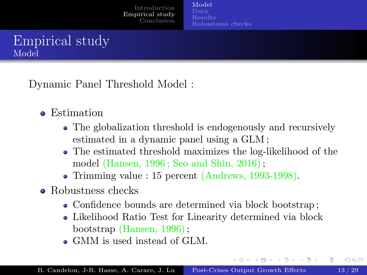[Empirical study](#page-9-0) [Conclusion](#page-25-0) [Model](#page-9-0) [Data](#page-13-0)

<span id="page-12-0"></span>Dynamic Panel Threshold Model :

- Estimation
	- The globalization threshold is endogenously and recursively estimated in a dynamic panel using a GLM ;
	- The estimated threshold maximizes the log-likelihood of the model (Hansen, 1996 ; Seo and Shin, 2016);
	- Trimming value : 15 percent (Andrews, 1993-1998).
- Robustness checks
	- Confidence bounds are determined via block bootstrap;
	- Likelihood Ratio Test for Linearity determined via block bootstrap (Hansen, 1996);
	- GMM is used instead of GLM.

イロト イ押ト イヨト イヨト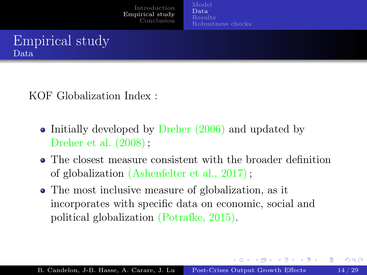[Empirical study](#page-9-0) [Conclusion](#page-25-0) [Model](#page-9-0) [Data](#page-13-0)

<span id="page-13-0"></span>

KOF Globalization Index :

- Initially developed by Dreher  $(2006)$  and updated by Dreher et al. (2008);
- The closest measure consistent with the broader definition of globalization (Ashenfelter et al., 2017);
- The most inclusive measure of globalization, as it incorporates with specific data on economic, social and political globalization (Potrafke, 2015).

**K ロ ト K 何 ト K ヨ ト K ヨ ト**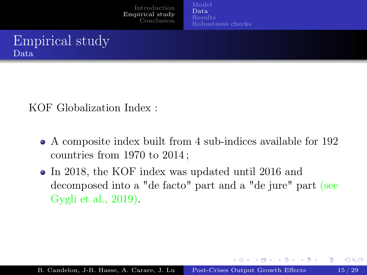[Empirical study](#page-9-0) [Conclusion](#page-25-0) [Model](#page-9-0) [Data](#page-13-0)



KOF Globalization Index :

- A composite index built from 4 sub-indices available for 192 countries from 1970 to 2014 ;
- In 2018, the KOF index was updated until 2016 and decomposed into a "de facto" part and a "de jure" part (see Gygli et al., 2019).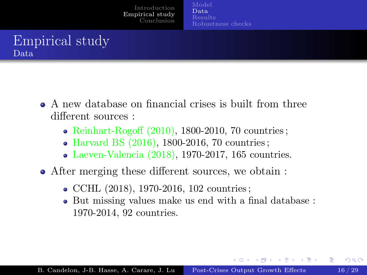[Empirical study](#page-9-0) [Conclusion](#page-25-0) [Model](#page-9-0) [Data](#page-13-0)

# Empirical study Data

- A new database on financial crises is built from three different sources :
	- Reinhart-Rogoff (2010), 1800-2010, 70 countries;
	- Harvard BS  $(2016)$ , 1800-2016, 70 countries;
	- Laeven-Valencia  $(2018)$ , 1970-2017, 165 countries.
- After merging these different sources, we obtain :
	- CCHL (2018), 1970-2016, 102 countries;
	- But missing values make us end with a final database : 1970-2014, 92 countries.

 $2Q$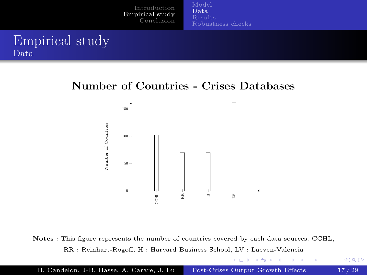#### <span id="page-16-0"></span>Empirical study Data

#### Number of Countries - Crises Databases



Notes : This figure represents the number of countries covered by each data sources. CCHL, RR : Reinhart-Rogoff, H : Harvard Business School, LV : Laeven-Valencia

イロト イ部 トメ ヨト メヨト

重

 $2Q$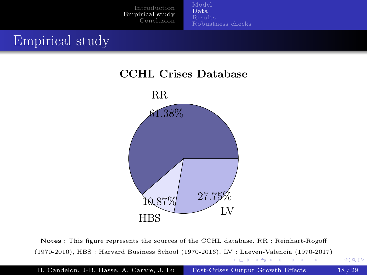[Data](#page-13-0) [Robustness checks](#page-23-0)

# <span id="page-17-0"></span>Empirical study

#### CCHL Crises Database



Notes : This figure represents the sources of the CCHL database. RR : Reinhart-Rogoff (1970-2010), HBS : Harvard Business School (1970-2016), L[V :](#page-16-0) L[ae](#page-18-0)[ve](#page-16-0)[n-V](#page-17-0)[al](#page-18-0)[en](#page-12-0)[c](#page-13-0)[ia](#page-17-0) [\(](#page-18-0)[19](#page-8-0)[7](#page-9-0)[0-](#page-24-0)[2](#page-25-0)[017](#page-0-0)[\)](#page-28-0) イロト イ部 トメ ヨト メヨト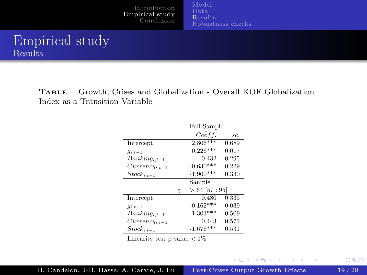#### <span id="page-18-0"></span>Empirical study Results

Table – Growth, Crises and Globalization - Overall KOF Globalization Index as a Transition Variable

|                     |          | Full Sample     |       |
|---------------------|----------|-----------------|-------|
|                     |          | Coeff.          | sê.   |
| Intercept           |          | $2.806***$      | 0.689 |
| $q_{i,t-1}$         |          | $0.226***$      | 0.017 |
| $Banking_{i,t-1}$   |          | $-0.432$        | 0.295 |
| $Currentcy_{i,t-1}$ |          | $-0.630***$     | 0.229 |
| $Stock_{i,t-1}$     |          | $-1.900***$     | 0.330 |
|                     |          | Sample          |       |
|                     | $\gamma$ | $>64$ [57 : 95] |       |
| Intercept           |          | 0.480           | 0.335 |
| $g_{i,t-1}$         |          | $-0.162***$     | 0.039 |
| $Banking_{i,t-1}$   |          | $-1.303***$     | 0.509 |
| $Currentcy_{i,t-1}$ |          | 0.443           | 0.571 |
| $Stock_{i,t-1}$     |          | $-1.676***$     | 0.531 |

Linearity test p-value <sup>&</sup>lt; 1%

重

メロメ メ都 レメ ヨメ メヨメ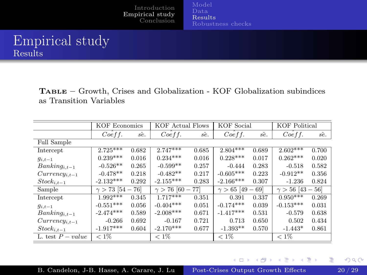## Empirical study Results

TABLE – Growth, Crises and Globalization - KOF Globalization subindices as Transition Variables

|                     | <b>KOF Economics</b> |       | KOF Actual Flows    |       | <b>KOF</b> Social   |       | <b>KOF</b> Political    |       |
|---------------------|----------------------|-------|---------------------|-------|---------------------|-------|-------------------------|-------|
|                     | Coeff.               | sê.   | Coeff.              | sê.   | Coeff.              | sê.   | Coeff.                  | sê.   |
| Full Sample         |                      |       |                     |       |                     |       |                         |       |
| Intercept           | $2.725***$           | 0.682 | $2.747***$          | 0.685 | $2.804***$          | 0.689 | $2.602***$              | 0.700 |
| $g_{i,t-1}$         | $0.239***$           | 0.016 | $0.234***$          | 0.016 | $0.228***$          | 0.017 | $0.262***$              | 0.020 |
| $Banking_{i,t-1}$   | $-0.526**$           | 0.265 | $-0.599**$          | 0.257 | $-0.444$            | 0.283 | $-0.518$                | 0.582 |
| $Currentcy_{i,t-1}$ | $-0.478**$           | 0.218 | $-0.482**$          | 0.217 | $-0.605***$         | 0.223 | $-0.912**$              | 0.356 |
| $Stock_{i,t-1}$     | $-2.132***$          | 0.292 | $-2.155***$         | 0.283 | $-2.166***$         | 0.307 | $-1.236$                | 0.824 |
| Sample              | $\gamma > 73$ [54 –  | 76]   | $\gamma > 76$ [60 - | 77)   | $\gamma > 65$ [49 – | 69    | $\gamma > 56$ [43 - 56] |       |
| Intercept           | $1.992***$           | 0.345 | $1.717***$          | 0.351 | 0.391               | 0.337 | $0.950***$              | 0.269 |
| $g_{i,t-1}$         | $-0.551***$          | 0.056 | $-0.404***$         | 0.051 | $-0.174***$         | 0.039 | $-0.153***$             | 0.031 |
| $Banking_{i,t-1}$   | $-2.474***$          | 0.589 | $-2.008***$         | 0.671 | $-1.417***$         | 0.531 | $-0.579$                | 0.638 |
| $Currentcy_{i,t-1}$ | $-0.266$             | 0.692 | $-0.167$            | 0.721 | 0.713               | 0.650 | 0.502                   | 0.434 |
| $Stock_{i,t-1}$     | $-1.917***$          | 0.604 | $-2.170***$         | 0.677 | $-1.393**$          | 0.570 | $-1.443*$               | 0.861 |
| L. test $P-value$   | $< 1\%$              |       | $< 1\%$             |       | $< 1\%$             |       | $< 1\%$                 |       |

メロメ メ都 レメ ヨメ メヨメ

活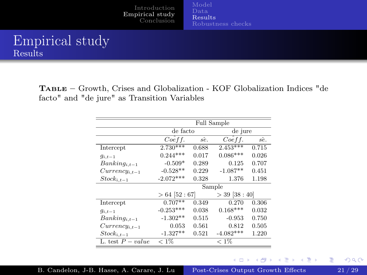## Empirical study Results

Table – Growth, Crises and Globalization - KOF Globalization Indices "de facto" and "de jure" as Transition Variables

|                     | <b>Full Sample</b> |       |                  |       |  |  |  |
|---------------------|--------------------|-------|------------------|-------|--|--|--|
|                     | de facto           |       | de jure          |       |  |  |  |
|                     | Coeff.             | sê.   | Coeff.           | sê.   |  |  |  |
| Intercept           | $2.730***$         | 0.688 | $2.453***$       | 0.715 |  |  |  |
| $g_{i,t-1}$         | $0.244***$         | 0.017 | $0.086***$       | 0.026 |  |  |  |
| $Banking_{i,t-1}$   | $-0.509*$          | 0.289 | 0.125            | 0.707 |  |  |  |
| $Currency_{i,t-1}$  | $-0.528**$         | 0.229 | $-1.087**$       | 0.451 |  |  |  |
| $Stock_{i,t-1}$     | $-2.072***$        | 0.328 | 1.376            | 1.198 |  |  |  |
|                     |                    |       | Sample           |       |  |  |  |
|                     | $>64$ [52 : 67]    |       | $>$ 39 [38 : 40] |       |  |  |  |
| Intercept           | $0.707**$          | 0.349 | 0.270            | 0.306 |  |  |  |
| $q_{i,t-1}$         | $-0.253***$        | 0.038 | $0.168***$       | 0.032 |  |  |  |
| $Banking_{i,t-1}$   | $-1.302**$         | 0.515 | $-0.953$         | 0.750 |  |  |  |
| $Currentcy_{i,t-1}$ | 0.053              | 0.561 | 0.812            | 0.505 |  |  |  |
| $Stock_{i,t-1}$     | $-1.327**$         | 0.521 | $-4.082***$      | 1.220 |  |  |  |
| L. test $P-value$   | $< 1\%$            |       | $< 1\%$          |       |  |  |  |

 $2Q$ 

活

メロト メタト メミト メミト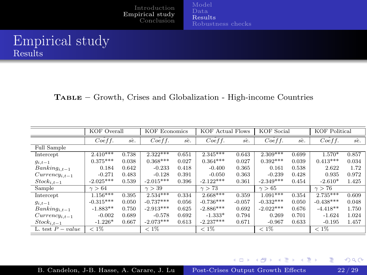## Empirical study Results

Table – Growth, Crises and Globalization - High-income Countries

|                     | <b>KOF</b> Overall |       |               | <b>KOF Economics</b><br><b>KOF Actual Flows</b> |                       | <b>KOF</b> Social |               | <b>KOF</b> Political |               |       |
|---------------------|--------------------|-------|---------------|-------------------------------------------------|-----------------------|-------------------|---------------|----------------------|---------------|-------|
|                     | Coeff.             | sê.   | Coeff.        | sê.                                             | Coeff.                | sê.               | Coeff.        | sê.                  | Coeff.        | sê.   |
| Full Sample         |                    |       |               |                                                 |                       |                   |               |                      |               |       |
| Intercept           | $2.410***$         | 0.738 | $2.322***$    | 0.651                                           | $2.\overline{345***}$ | 0.643             | $2.309***$    | 0.699                | 1.570*        | 0.857 |
| $g_{i,t-1}$         | $0.375***$         | 0.038 | $0.368***$    | 0.027                                           | $0.364***$            | 0.027             | $0.392***$    | 0.039                | $0.413***$    | 0.034 |
| $Banking_{i,t-1}$   | 0.184              | 0.642 | $-0.233$      | 0.418                                           | $-0.400$              | 0.365             | 0.161         | 0.538                | 2.622         | 1.72  |
| $Currentcy_{i,t-1}$ | $-0.271$           | 0.483 | $-0.128$      | 0.391                                           | $-0.050$              | 0.363             | $-0.239$      | 0.428                | 0.935         | 0.972 |
| $Stock_{i,t-1}$     | $-2.025***$        | 0.539 | $-2.015***$   | 0.396                                           | $-2.122***$           | 0.361             | $-2.349***$   | 0.454                | $-2.610*$     | 1.425 |
| Sample              | $\gamma > 64$      |       | $\gamma > 39$ |                                                 | $\gamma > 73$         |                   | $\gamma > 65$ |                      | $\gamma > 76$ |       |
| Intercept           | $1.156***$         | 0.395 | $2.534***$    | 0.334                                           | $2.668***$            | 0.359             | $1.091***$    | 0.354                | $2.735***$    | 0.609 |
| $g_{i,t-1}$         | $-0.315***$        | 0.050 | $-0.737***$   | 0.056                                           | $-0.736***$           | $-0.057$          | $-0.332***$   | 0.050                | $-0.438***$   | 0.048 |
| $Banking_{i,t-1}$   | $-1.883**$         | 0.750 | $-2.913***$   | 0.625                                           | $-2.886***$           | 0.692             | $-2.022***$   | 0.676                | $-4.418**$    | 1.750 |
| $Currentcy_{i,t-1}$ | $-0.002$           | 0.689 | $-0.578$      | 0.692                                           | $-1.333*$             | 0.794             | 0.269         | 0.701                | $-1.624$      | 1.024 |
| $Stock_{i,t-1}$     | $-1.226*$          | 0.667 | $-2.073***$   | 0.613                                           | $-2.237***$           | 0.671             | $-0.967$      | 0.633                | $-0.195$      | 1.457 |
| L. test $P-value$   | $< 1\%$            |       | $< 1\%$       |                                                 | $< 1\%$               |                   | $< 1\%$       |                      | $< 1\%$       |       |

 $2Q$ 

重

メロメ メ都 レメ ヨメ メヨメ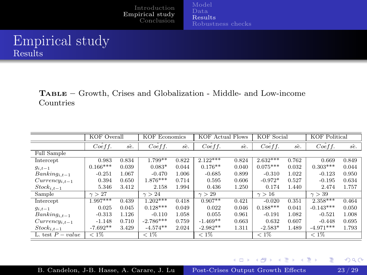#### Empirical study Results

Table – Growth, Crises and Globalization - Middle- and Low-income Countries

|                     | <b>KOF</b> Overall |       |               | <b>KOF Economics</b><br><b>KOF Actual Flows</b> |                       | <b>KOF</b> Social |               | <b>KOF Political</b> |                       |       |
|---------------------|--------------------|-------|---------------|-------------------------------------------------|-----------------------|-------------------|---------------|----------------------|-----------------------|-------|
|                     | Coeff.             | sê.   | Coeff.        | sê.                                             | Coeff.                | sê.               | Coeff.        | sê.                  | Coeff.                | sê.   |
| Full Sample         |                    |       |               |                                                 |                       |                   |               |                      |                       |       |
| Intercept           | 0.983              | 0.834 | $1.799**$     | 0.822                                           | $2.\overline{122***}$ | 0.824             | $2.632***$    | 0.762                | 0.669                 | 0.849 |
| $g_{i,t-1}$         | $0.166***$         | 0.039 | $0.083*$      | 0.044                                           | $0.176**$             | 0.040             | $0.075***$    | 0.032                | $0.303***$            | 0.044 |
| $Banking_{i,t-1}$   | $-0.251$           | 1.067 | $-0.470$      | 1.006                                           | $-0.685$              | 0.899             | $-0.310$      | 1.022                | $-0.123$              | 0.950 |
| $Currentcy_{i,t-1}$ | 0.394              | 0.650 | $1.876***$    | 0.714                                           | 0.595                 | 0.606             | $-0.972*$     | 0.527                | $-0.195$              | 0.634 |
| $Stock_{i,t-1}$     | 5.346              | 3.412 | 2.158         | 1.994                                           | 0.436                 | 1.250             | 0.174         | 1.440                | 2.474                 | 1.757 |
| Sample              | $\gamma > 27$      |       | $\gamma > 24$ |                                                 | $\gamma > 29$         |                   | $\gamma > 16$ |                      | $\gamma > 39$         |       |
| Intercept           | $1.997***$         | 0.439 | $1.202***$    | 0.418                                           | $0.907**$             | 0.421             | $-0.020$      | 0.351                | $2.\overline{358***}$ | 0.464 |
| $g_{i,t-1}$         | 0.025              | 0.045 | $0.128***$    | 0.049                                           | 0.022                 | 0.046             | $0.188***$    | 0.041                | $-0.143***$           | 0.050 |
| $Banking_{i,t-1}$   | $-0.313$           | 1.126 | $-0.110$      | 1.058                                           | 0.055                 | 0.961             | $-0.191$      | 1.082                | $-0.521$              | 1.008 |
| $Currentcy_{i,t-1}$ | $-1.148$           | 0.710 | $-2.786***$   | 0.759                                           | $-1.469**$            | 0.663             | 0.632         | 0.607                | $-0.448$              | 0.695 |
| $Stock_{i,t-1}$     | $-7.692**$         | 3.429 | $-4.574**$    | 2.024                                           | $-2.982**$            | 1.311             | $-2.583*$     | 1.489                | $-4.971***$           | 1.793 |
| L. test $P-value$   | $< 1\%$            |       | $< 1\%$       |                                                 | $< 1\%$               |                   | $< 1\%$       |                      | $< 1\%$               |       |

メロメ メ都 レメ ヨメ メヨメ

活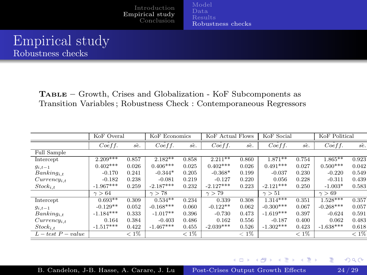#### <span id="page-23-0"></span>Empirical study Robustness checks

Table – Growth, Crises and Globalization - KoF Subcomponents as Transition Variables ; Robustness Check : Contemporaneous Regressors

|                     | KoF Overal    |         |               | KoF Economics |               | KoF Actual Flows |               | KoF Social | KoF Political |         |
|---------------------|---------------|---------|---------------|---------------|---------------|------------------|---------------|------------|---------------|---------|
|                     | Coeff.        | sê.     | Coeff.        | sê.           | Coeff.        | sê.              | Coeff.        | sê.        | Coeff.        | sè.     |
| Full Sample         |               |         |               |               |               |                  |               |            |               |         |
| Intercept           | $2.209***$    | 0.857   | $2.182**$     | 0.858         | $2.211**$     | 0.860            | $1.871***$    | 0.754      | $1.865***$    | 0.923   |
| $g_{i,t-1}$         | $0.402***$    | 0.026   | $0.406***$    | 0.025         | $0.402***$    | 0.026            | $0.491***$    | 0.027      | $0.500***$    | 0.042   |
| $Banking_{i,t}$     | $-0.170$      | 0.241   | $-0.344*$     | 0.205         | $-0.368*$     | 0.199            | $-0.037$      | 0.230      | $-0.220$      | 0.549   |
| $Currentity_{i.t.}$ | $-0.182$      | 0.238   | $-0.081$      | 0.219         | $-0.127$      | 0.220            | 0.056         | 0.228      | $-0.311$      | 0.439   |
| $Stock_{i,t}$       | $-1.967***$   | 0.259   | $-2.187***$   | 0.232         | $-2.127***$   | 0.223            | $-2.121***$   | 0.250      | $-1.003*$     | 0.583   |
|                     | $\gamma > 64$ |         | $\gamma > 78$ |               | $\gamma > 79$ |                  | $\gamma > 51$ |            | $\gamma > 69$ |         |
| Intercept           | $0.693**$     | 0.309   | $0.534**$     | 0.234         | 0.339         | 0.308            | $1.314***$    | 0.351      | $1.528***$    | 0.357   |
| $g_{i,t-1}$         | $-0.129**$    | 0.052   | $-0.168***$   | 0.060         | $-0.122**$    | 0.062            | $-0.300***$   | 0.067      | $-0.268***$   | 0.057   |
| $Banking_{i,t}$     | $-1.184***$   | 0.333   | $-1.017**$    | 0.396         | $-0.730$      | 0.473            | $-1.619***$   | 0.397      | $-0.624$      | 0.591   |
| $Currentcy_{i.t}$   | 0.164         | 0.384   | $-0.403$      | 0.486         | 0.162         | 0.556            | $-0.187$      | 0.400      | 0.062         | 0.483   |
| $Stock_{i,t}$       | $-1.517***$   | 0.422   | $-1.467***$   | 0.455         | $-2.039***$   | 0.526            | $-1.302***$   | 0.423      | $-1.638***$   | 0.618   |
| $L-test P-value$    |               | $< 1\%$ |               | $< 1\%$       |               | $< 1\%$          |               | $< 1\%$    |               | $< 1\%$ |

**K ロト K 御 ト K 君 ト K 君 ト** 

 $298$ 

E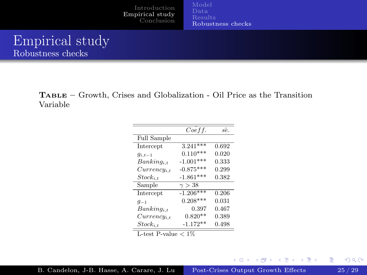<span id="page-24-0"></span>Empirical study Robustness checks

> Table – Growth, Crises and Globalization - Oil Price as the Transition Variable

|                    | Coeff.        | sê.   |
|--------------------|---------------|-------|
| <b>Full Sample</b> |               |       |
| Intercept          | $3.241***$    | 0.692 |
| $q_{i,t-1}$        | $0.110***$    | 0.020 |
| $Banking_{i,t}$    | $-1.001***$   | 0.333 |
| $Currentcy_{i,t}$  | $-0.875***$   | 0.299 |
| $Stock_{i,t}$      | $-1.861***$   | 0.382 |
| Sample             | $\gamma > 38$ |       |
| Intercept          | $-1.206***$   | 0.206 |
| $q_{-1}$           | $0.208***$    | 0.031 |
| $Banking_{i,t}$    | 0.397         | 0.467 |
| $Currentcy_{i.t}$  | $0.820**$     | 0.389 |
| $Stock_{i.t}$      | $-1.172**$    | 0.498 |

L-test P-value  $< 1\%$ 

活

メロメ メ都 レメ ヨメ メヨメ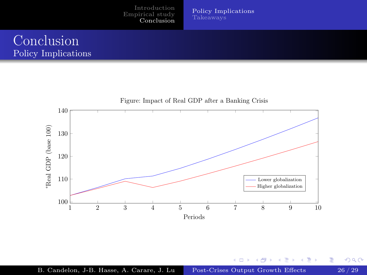[Empirical study](#page-9-0) [Conclusion](#page-25-0)

[Policy Implications](#page-25-0)

#### <span id="page-25-0"></span>Conclusion Policy Implications



K ロ ▶ K 倒 ▶ K 경 ▶ K 경

 $2Q$ 

重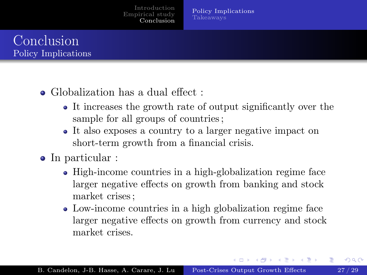[Policy Implications](#page-25-0) [Takeaways](#page-28-0)

# Conclusion Policy Implications

- Globalization has a dual effect ·
	- It increases the growth rate of output significantly over the sample for all groups of countries ;
	- It also exposes a country to a larger negative impact on short-term growth from a financial crisis.
- In particular :
	- High-income countries in a high-globalization regime face larger negative effects on growth from banking and stock market crises ;
	- Low-income countries in a high globalization regime face larger negative effects on growth from currency and stock market crises.

**K ロ ト K 何 ト K ヨ ト K ヨ ト**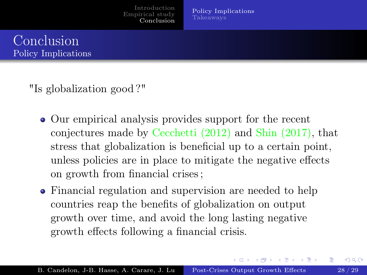[Policy Implications](#page-25-0) [Takeaways](#page-28-0)



"Is globalization good ?"

- Our empirical analysis provides support for the recent conjectures made by Cecchetti (2012) and Shin (2017), that stress that globalization is beneficial up to a certain point, unless policies are in place to mitigate the negative effects on growth from financial crises ;
- Financial regulation and supervision are needed to help countries reap the benefits of globalization on output growth over time, and avoid the long lasting negative growth effects following a financial crisis.

イロト イ押ト イヨト イヨト